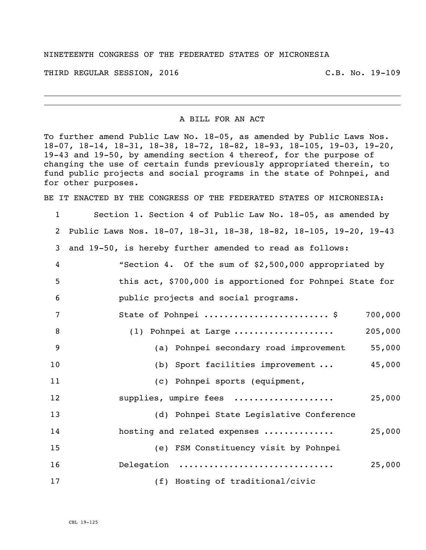## NINETEENTH CONGRESS OF THE FEDERATED STATES OF MICRONESIA

THIRD REGULAR SESSION, 2016 C.B. No. 19-109

A BILL FOR AN ACT

To further amend Public Law No. 18-05, as amended by Public Laws Nos. 18-07, 18-14, 18-31, 18-38, 18-72, 18-82, 18-93, 18-105, 19-03, 19-20, 19-43 and 19-50, by amending section 4 thereof, for the purpose of changing the use of certain funds previously appropriated therein, to fund public projects and social programs in the state of Pohnpei, and for other purposes.

BE IT ENACTED BY THE CONGRESS OF THE FEDERATED STATES OF MICRONESIA:

 Section 1. Section 4 of Public Law No. 18-05, as amended by Public Laws Nos. 18-07, 18-31, 18-38, 18-82, 18-105, 19-20, 19-43 and 19-50, is hereby further amended to read as follows: "Section 4. Of the sum of \$2,500,000 appropriated by this act, \$700,000 is apportioned for Pohnpei State for public projects and social programs. State of Pohnpei ......................... \$ 700,000 (1) Pohnpei at Large .................... 205,000 (a) Pohnpei secondary road improvement 55,000 (b) Sport facilities improvement ... 45,000 (c) Pohnpei sports (equipment, supplies, umpire fees .................... 25,000 (d) Pohnpei State Legislative Conference hosting and related expenses .............. 25,000 (e) FSM Constituency visit by Pohnpei Delegation ............................... 25,000 (f) Hosting of traditional/civic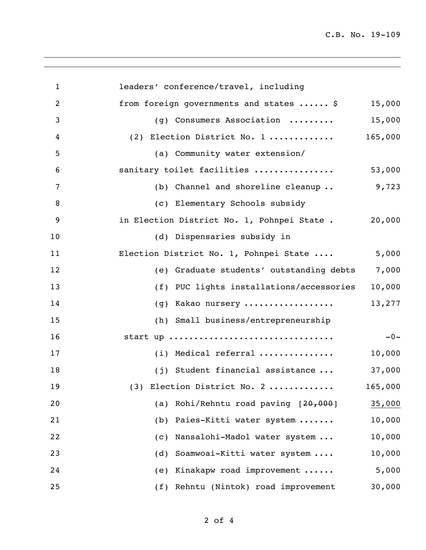C.B. No. 19-109

| $\mathbf{1}$   | leaders' conference/travel, including       |         |
|----------------|---------------------------------------------|---------|
| $\overline{2}$ | from foreign governments and states  \$     | 15,000  |
| 3              | (g) Consumers Association                   | 15,000  |
| 4              | (2) Election District No. 1                 | 165,000 |
| 5              | (a) Community water extension/              |         |
| 6              | sanitary toilet facilities                  | 53,000  |
| 7              | (b) Channel and shoreline cleanup           | 9,723   |
| $\,8\,$        | (c) Elementary Schools subsidy              |         |
| 9              | in Election District No. 1, Pohnpei State . | 20,000  |
| 10             | (d) Dispensaries subsidy in                 |         |
| 11             | Election District No. 1, Pohnpei State      | 5,000   |
| 12             | (e) Graduate students' outstanding debts    | 7,000   |
| 13             | (f) PUC lights installations/accessories    | 10,000  |
| 14             | (g) Kakao nursery                           | 13,277  |
| 15             | (h) Small business/entrepreneurship         |         |
| 16             | start up                                    | $-0-$   |
| 17             | (i) Medical referral                        | 10,000  |
| 18             | (j) Student financial assistance            | 37,000  |
| 19             | (3) Election District No. 2                 | 165,000 |
| 20             | Rohi/Rehntu road paving [20,000]<br>(a)     | 35,000  |
| 21             | Paies-Kitti water system<br>(b)             | 10,000  |
| 22             | Nansalohi-Madol water system<br>(C)         | 10,000  |
| 23             | Soamwoai-Kitti water system<br>(d)          | 10,000  |
| 24             | Kinakapw road improvement<br>(e)            | 5,000   |
| 25             | (f) Rehntu (Nintok) road improvement        | 30,000  |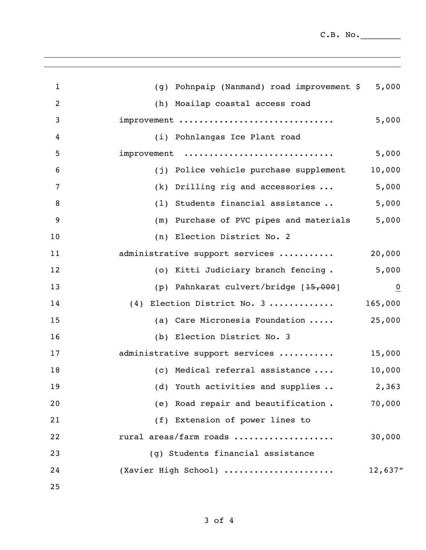$C.B. No.$ 

| $\mathbf{1}$     | (g) Pohnpaip (Nanmand) road improvement \$ | 5,000          |
|------------------|--------------------------------------------|----------------|
| 2                | (h) Moailap coastal access road            |                |
| 3                | improvement                                | 5,000          |
| $\overline{4}$   | (i) Pohnlangas Ice Plant road              |                |
| 5                | improvement                                | 5,000          |
| $\boldsymbol{6}$ | (j) Police vehicle purchase supplement     | 10,000         |
| 7                | $(k)$ Drilling rig and accessories         | 5,000          |
| 8                | (1) Students financial assistance          | 5,000          |
| 9                | (m) Purchase of PVC pipes and materials    | 5,000          |
| 10               | (n) Election District No. 2                |                |
| 11               | administrative support services            | 20,000         |
| 12               | (o) Kitti Judiciary branch fencing.        | 5,000          |
| 13               | (p) Pahnkarat culvert/bridge [15,000]      | $\overline{0}$ |
| 14               | (4) Election District No. 3                | 165,000        |
| 15               | (a) Care Micronesia Foundation             | 25,000         |
| 16               | (b) Election District No. 3                |                |
| 17               | administrative support services            | 15,000         |
| 18               | (c) Medical referral assistance            | 10,000         |
| 19               | (d) Youth activities and supplies          | 2,363          |
| 20               | (e) Road repair and beautification.        | 70,000         |
| 21               | (f) Extension of power lines to            |                |
| 22               | rural areas/farm roads                     | 30,000         |
| 23               | (g) Students financial assistance          |                |
| 24               | (Xavier High School)                       | 12,637"        |
| 25               |                                            |                |